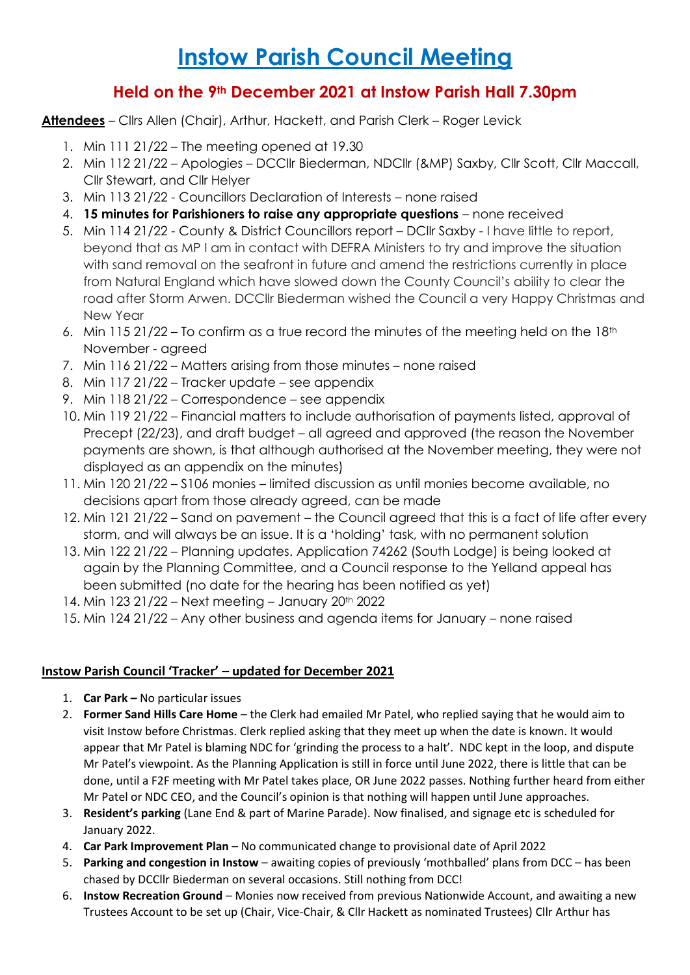## **Instow Parish Council Meeting**

## **Held on the 9th December 2021 at Instow Parish Hall 7.30pm**

**Attendees** – Cllrs Allen (Chair), Arthur, Hackett, and Parish Clerk – Roger Levick

- 1. Min 111 21/22 The meeting opened at 19.30
- 2. Min 112 21/22 Apologies DCCllr Biederman, NDCllr (&MP) Saxby, Cllr Scott, Cllr Maccall, Cllr Stewart, and Cllr Helyer
- 3. Min 113 21/22 Councillors Declaration of Interests none raised
- 4. **15 minutes for Parishioners to raise any appropriate questions** none received
- 5. Min 114 21/22 County & District Councillors report DCllr Saxby I have little to report, beyond that as MP I am in contact with DEFRA Ministers to try and improve the situation with sand removal on the seafront in future and amend the restrictions currently in place from Natural England which have slowed down the County Council's ability to clear the road after Storm Arwen. DCCllr Biederman wished the Council a very Happy Christmas and New Year
- 6. Min 115 21/22 To confirm as a true record the minutes of the meeting held on the  $18<sup>th</sup>$ November - agreed
- 7. Min 116 21/22 Matters arising from those minutes none raised
- 8. Min 117 21/22 Tracker update see appendix
- 9. Min 118 21/22 Correspondence see appendix
- 10. Min 119 21/22 Financial matters to include authorisation of payments listed, approval of Precept (22/23), and draft budget – all agreed and approved (the reason the November payments are shown, is that although authorised at the November meeting, they were not displayed as an appendix on the minutes)
- 11. Min 120 21/22 S106 monies limited discussion as until monies become available, no decisions apart from those already agreed, can be made
- 12. Min 121 21/22 Sand on pavement the Council agreed that this is a fact of life after every storm, and will always be an issue. It is a 'holding' task, with no permanent solution
- 13. Min 122 21/22 Planning updates. Application 74262 (South Lodge) is being looked at again by the Planning Committee, and a Council response to the Yelland appeal has been submitted (no date for the hearing has been notified as yet)
- 14. Min 123 21/22 Next meeting January 20th 2022
- 15. Min 124 21/22 Any other business and agenda items for January none raised

## **Instow Parish Council 'Tracker' – updated for December 2021**

- 1. **Car Park –** No particular issues
- 2. **Former Sand Hills Care Home** the Clerk had emailed Mr Patel, who replied saying that he would aim to visit Instow before Christmas. Clerk replied asking that they meet up when the date is known. It would appear that Mr Patel is blaming NDC for 'grinding the process to a halt'. NDC kept in the loop, and dispute Mr Patel's viewpoint. As the Planning Application is still in force until June 2022, there is little that can be done, until a F2F meeting with Mr Patel takes place, OR June 2022 passes. Nothing further heard from either Mr Patel or NDC CEO, and the Council's opinion is that nothing will happen until June approaches.
- 3. **Resident's parking** (Lane End & part of Marine Parade). Now finalised, and signage etc is scheduled for January 2022.
- 4. **Car Park Improvement Plan** No communicated change to provisional date of April 2022
- 5. **Parking and congestion in Instow**  awaiting copies of previously 'mothballed' plans from DCC has been chased by DCCllr Biederman on several occasions. Still nothing from DCC!
- 6. **Instow Recreation Ground**  Monies now received from previous Nationwide Account, and awaiting a new Trustees Account to be set up (Chair, Vice-Chair, & Cllr Hackett as nominated Trustees) Cllr Arthur has